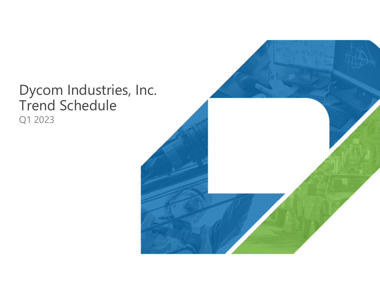# Dycom Industries, Inc. Trend Schedule Q1 2023

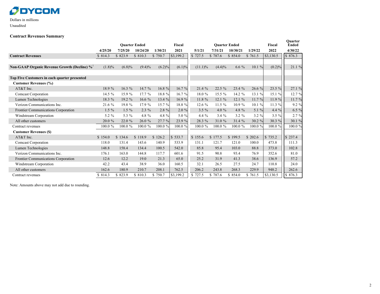### **ØDYCOM**

#### Dollars in millions Unaudited

#### **Contract Revenues Summary**

|                                                          |           | <b>Ouarter Ended</b> |           |           | <b>Fiscal</b> |            | <b>Ouarter Ended</b> |          |          | Fiscal    | Quarter<br><b>Ended</b> |
|----------------------------------------------------------|-----------|----------------------|-----------|-----------|---------------|------------|----------------------|----------|----------|-----------|-------------------------|
|                                                          | 4/25/20   | 7/25/20              | 10/24/20  | 1/30/21   | 2021          | 5/1/21     | 7/31/21              | 10/30/21 | 1/29/22  | 2022      | 4/30/22                 |
| <b>Contract Revenues</b>                                 | \$814.3   | \$823.9              | \$810.3   | \$750.7   | \$3,199.2     | \$727.5    | \$787.6              | \$854.0  | \$761.5  | \$3,130.5 | \$876.3                 |
|                                                          |           |                      |           |           |               |            |                      |          |          |           |                         |
| Non-GAAP Organic Revenue Growth (Decline) % <sup>1</sup> | $(1.8)\%$ | (6.8)%               | $(9.4)\%$ | $(6.2)\%$ | $(6.1)\%$     | $(11.1)\%$ | $(4.4)\%$            | $6.6\%$  | 10.1%    | (0.2)%    | 21.1%                   |
|                                                          |           |                      |           |           |               |            |                      |          |          |           |                         |
| Top Five Customers in each quarter presented             |           |                      |           |           |               |            |                      |          |          |           |                         |
| <b>Customer Revenues (%)</b>                             |           |                      |           |           |               |            |                      |          |          |           |                         |
| AT&T Inc.                                                | 18.9 %    | $16.3\%$             | $14.7\%$  | $16.8 \%$ | 16.7%         | 21.4%      | $22.5\%$             | 23.4 %   | 26.6%    | 23.5 %    | 27.1 %                  |
| <b>Comcast Corporation</b>                               | 14.5 %    | 15.9 %               | 17.7 %    | 18.8 %    | 16.7%         | 18.0%      | 15.5 %               | 14.2 %   | 13.1 %   | 15.1 %    | 12.7 %                  |
| Lumen Technologies                                       | 18.3 %    | 19.2 %               | 16.6 $%$  | 13.4 $%$  | 16.9 %        | 11.8 %     | 12.1%                | 12.1 %   | 11.7 %   | 11.9%     | 11.7 %                  |
| Verizon Communications Inc.                              | 21.6 %    | 19.8%                | 17.9 %    | 15.7 %    | 18.8 %        | 12.6%      | 11.5%                | 10.9%    | 10.1 %   | 11.3 $%$  | 9.2 %                   |
| Frontier Communications Corporation                      | $1.5\%$   | $1.5\%$              | $2.3\%$   | $2.8 \%$  | $2.0 \%$      | $3.5 \%$   | 4.0 $%$              | 4.8 %    | 5.1 $%$  | 4.4%      | 6.5 %                   |
| Windstream Corporation                                   | 5.2 %     | 5.3 %                | 4.8 %     | 4.8 %     | 5.0 %         | 4.4 %      | 3.4%                 | $3.2 \%$ | $3.2 \%$ | 3.5%      | 2.7%                    |
| All other customers                                      | 20.0 %    | 22.0 %               | 26.0%     | 27.7%     | 23.9 %        | 28.3 %     | 31.0 %               | 31.4 %   | 30.2 %   | 30.3 %    | 30.1 %                  |
| Contract revenues                                        | 100.0%    | $100.0 \%$           | 100.0%    | 100.0%    | 100.0%        | 100.0%     | 100.0%               | 100.0%   | 100.0%   | 100.0%    | 100.0%                  |
| <b>Customer Revenues (\$)</b>                            |           |                      |           |           |               |            |                      |          |          |           |                         |
| AT&T Inc.                                                | \$154.0   | \$134.6              | \$118.9   | \$126.2   | \$533.7       | \$155.6    | \$177.5              | \$199.5  | \$202.6  | \$735.2   | \$237.4                 |
| Comcast Corporation                                      | 118.0     | 131.4                | 143.6     | 140.9     | 533.9         | 131.1      | 121.7                | 121.0    | 100.0    | 473.8     | 111.3                   |
| Lumen Technologies                                       | 148.8     | 158.4                | 134.4     | 100.5     | 542.0         | 85.8       | 95.4                 | 103.0    | 88.8     | 373.0     | 102.8                   |
| Verizon Communications Inc.                              | 176.1     | 163.0                | 144.8     | 117.7     | 601.6         | 91.5       | 90.8                 | 93.4     | 76.9     | 352.6     | 81.0                    |
| Frontier Communications Corporation                      | 12.6      | 12.2                 | 19.0      | 21.3      | 65.0          | 25.2       | 31.9                 | 41.3     | 38.6     | 136.9     | 57.2                    |
| Windstream Corporation                                   | 42.2      | 43.4                 | 38.9      | 36.0      | 160.5         | 32.1       | 26.5                 | 27.5     | 24.7     | 110.8     | 24.0                    |
| All other customers                                      | 162.6     | 180.9                | 210.7     | 208.1     | 762.5         | 206.2      | 243.8                | 268.3    | 229.9    | 948.2     | 262.6                   |
| Contract revenues                                        | \$ 814.3  | \$823.9              | \$810.3   | \$750.7   | \$3,199.2     | \$727.5    | \$787.6              | \$854.0  | \$761.5  | \$3,130.5 | \$876.3                 |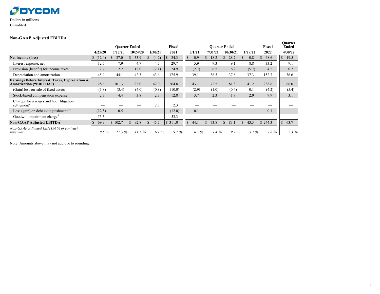### **ØDYCOM**

Dollars in millions Unaudited

#### **Non-GAAP Adjusted EBITDA**

|                                                                                   |         |         | <b>Ouarter Ended</b> |                       | Fiscal  |                      |         | <b>Ouarter Ended</b>  |                      | Fiscal               | <b>Quarter</b><br><b>Ended</b> |
|-----------------------------------------------------------------------------------|---------|---------|----------------------|-----------------------|---------|----------------------|---------|-----------------------|----------------------|----------------------|--------------------------------|
|                                                                                   | 4/25/20 | 7/25/20 | 10/24/20             | 1/30/21               | 2021    | 5/1/21               | 7/31/21 | 10/30/21              | 1/29/22              | 2022                 | 4/30/22                        |
| Net income (loss)                                                                 | (32.4)  | 37.0    | 33.9                 | (4.2)<br>Ъ            | 34.3    | $\mathbb{S}$<br>0.9  | 18.2    | 28.7                  | 0.8                  | 48.6<br><sup>S</sup> | $\mathbf{s}$<br>19.5           |
| Interest expense, net                                                             | 12.5    | 7.9     | 4.7                  | 4.7                   | 29.7    | 5.9                  | 9.3     | 9.1                   | 8.8                  | 33.2                 | 9.1                            |
| Provision (benefit) for income taxes                                              | 2.7     | 12.2    | 12.0                 | (2.1)                 | 24.9    | (2.7)                | 6.5     | 6.2                   | (5.7)                | 4.2                  | 0.7                            |
| Depreciation and amortization                                                     | 45.9    | 44.1    | 42.3                 | 43.6                  | 175.9   | 39.1                 | 38.5    | 37.8                  | 37.3                 | 152.7                | 36.6                           |
| Earnings Before Interest, Taxes, Depreciation &<br><b>Amortization ("EBITDA")</b> | 28.6    | 101.3   | 93.0                 | 42.0                  | 264.8   | 43.1                 | 72.5    | 81.8                  | 41.2                 | 238.6                | 66.0                           |
| (Gain) loss on sale of fixed assets                                               | (1.8)   | (3.4)   | (4.0)                | (0.8)                 | (10.0)  | (2.9)                | (1.0)   | (0.4)                 | 0.1                  | (4.2)                | (5.4)                          |
| Stock-based compensation expense                                                  | 2.3     | 4.4     | 3.8                  | 2.3                   | 12.8    | 3.7                  | 2.3     | 1.8                   | 2.0                  | 9.9                  | 3.1                            |
| Charges for a wages and hour litigation<br>settlement <sup>2</sup>                |         |         |                      | 2.3                   | 2.3     |                      |         |                       |                      |                      |                                |
| Loss (gain) on debt extinguishment <sup>3,4</sup>                                 | (12.5)  | 0.5     |                      |                       | (12.0)  | 0.1                  |         |                       |                      | 0.1                  |                                |
| Goodwill impairment charge <sup>5</sup>                                           | 53.3    |         |                      |                       | 53.3    |                      |         |                       |                      | --                   |                                |
| Non-GAAP Adjusted EBITDA <sup>1</sup>                                             | 69.9    | \$102.7 | $\mathbf{s}$<br>92.8 | $\mathcal{S}$<br>45.7 | \$311.0 | $\mathbb{S}$<br>44.1 | 73.8    | 83.1<br>$\mathcal{S}$ | $\mathbb{S}$<br>43.3 | \$244.3              | $\mathcal{S}$<br>63.7          |
| Non-GAAP Adjusted EBITDA % of contract<br>revenues                                | 8.6 %   | 12.5%   | 11.5%                | 6.1 $%$               | 9.7%    | 6.1%                 | $9.4\%$ | 9.7%                  | 5.7%                 | $7.8 \%$             | 7.3%                           |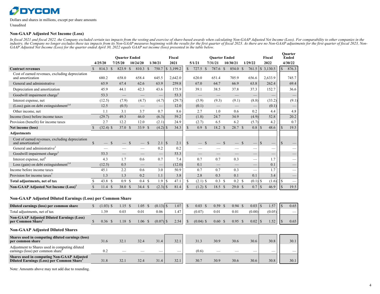### **ODYCOM**

Dollars and shares in millions, except per share amounts Unaudited

#### **Non-GAAP Adjusted Net Income (Loss)**

In fiscal 2021 and fiscal 2022, the Company excluded certain tax impacts from the vesting and exercise of share-based awards when calculating Non-GAAP Adjusted Net Income (Loss). For comparability to other companies in the industry, the Company no longer excludes these tax impacts from its Non-GAAP measures beginning with the results for the first quarter of fiscal 2023. As there are no Non-GAAP adjustments for the first quarter of fiscal 20 *GAAP Adjusted Net Income (Loss) for the quarter ended April 30, 2022 equals GAAP net income (loss) presented in the table below.*

|                                                                                  | <b>Ouarter Ended</b><br>Fiscal |             |      |                   |               |          |               |                 |               |           |               | <b>Ouarter Ended</b> |               |                                 |               |                   |               | Fiscal                          |               | <b>Ouarter</b><br><b>Ended</b> |            |                          |
|----------------------------------------------------------------------------------|--------------------------------|-------------|------|-------------------|---------------|----------|---------------|-----------------|---------------|-----------|---------------|----------------------|---------------|---------------------------------|---------------|-------------------|---------------|---------------------------------|---------------|--------------------------------|------------|--------------------------|
|                                                                                  |                                | 4/25/20     |      | 7/25/20           |               | 10/24/20 |               | 1/30/21         |               | 2021      |               | 5/1/21               |               | 7/31/21                         |               | 10/30/21          |               | 1/29/22                         |               | 2022                           |            | 4/30/22                  |
| <b>Contract revenues</b>                                                         |                                | 814.3       | S    | 823.9             | <sup>\$</sup> | 810.3    | <sup>\$</sup> | 750.7           |               | \$3,199.2 | $\mathbf S$   | 727.5                | <sup>\$</sup> | 787.6                           | <sup>\$</sup> | 854.0             | <sup>\$</sup> | 761.5                           |               | \$3,130.5                      | $\sqrt{S}$ | 876.3                    |
| Cost of earned revenues, excluding depreciation<br>and amortization              |                                | 680.2       |      | 658.0             |               | 658.4    |               | 645.5           |               | 2,642.0   |               | 620.0                |               | 651.4                           |               | 705.9             |               | 656.6                           |               | 2,633.9                        |            | 745.7                    |
| General and administrative                                                       |                                | 65.9        |      | 67.4              |               | 62.6     |               | 63.9            |               | 259.8     |               | 67.0                 |               | 64.7                            |               | 66.9              |               | 63.8                            |               | 262.4                          |            | 69.4                     |
| Depreciation and amortization                                                    |                                | 45.9        |      | 44.1              |               | 42.3     |               | 43.6            |               | 175.9     |               | 39.1                 |               | 38.5                            |               | 37.8              |               | 37.3                            |               | 152.7                          |            | 36.6                     |
| Goodwill impairment charge <sup>5</sup>                                          |                                | 53.3        |      |                   |               |          |               |                 |               | 53.3      |               |                      |               |                                 |               |                   |               |                                 |               |                                |            |                          |
| Interest expense, net                                                            |                                | (12.5)      |      | (7.9)             |               | (4.7)    |               | (4.7)           |               | (29.7)    |               | (5.9)                |               | (9.3)                           |               | (9.1)             |               | (8.8)                           |               | (33.2)                         |            | (9.1)                    |
| (Loss) gain on debt extinguishment <sup>3,4</sup>                                |                                | 12.5        |      | (0.5)             |               |          |               |                 |               | 12.0      |               | (0.1)                |               | $\hspace{0.1mm}-\hspace{0.1mm}$ |               |                   |               |                                 |               | (0.1)                          |            |                          |
| Other income, net                                                                |                                | 1.1         |      | 3.1               |               | 3.7      |               | 0.7             |               | 8.6       |               | 2.7                  |               | 1.0                             |               | 0.6               |               | 0.2                             |               | 4.4                            |            | 4.8                      |
| Income (loss) before income taxes                                                |                                | (29.7)      |      | 49.3              |               | 46.0     |               | (6.3)           |               | 59.2      |               | (1.8)                |               | 24.7                            |               | 34.9              |               | (4.9)                           |               | 52.8                           |            | 20.2                     |
| Provision (benefit) for income taxes                                             |                                | 2.7         |      | 12.2              |               | 12.0     |               | (2.1)           |               | 24.9      |               | (2.7)                |               | 6.5                             |               | 6.2               |               | (5.7)                           |               | 4.2                            |            | 0.7                      |
| Net income (loss)                                                                | $\mathcal{S}$                  | $(32.4)$ \$ |      | 37.0 <sup>°</sup> |               | 33.9 \$  |               |                 |               | 34.3      | $\mathcal{S}$ | 0.9 S                |               | 18.2 <sup>°</sup>               |               | 28.7 \$           |               | 0.8                             | <sup>\$</sup> | 48.6                           | $\sqrt{S}$ | 19.5                     |
| <b>Adjustments</b>                                                               |                                |             |      |                   |               |          |               |                 |               |           |               |                      |               |                                 |               |                   |               |                                 |               |                                |            |                          |
| Cost of earned revenues, excluding depreciation<br>and amortization <sup>2</sup> |                                |             | -S   |                   |               |          | <sup>\$</sup> | 2.1             | <sup>\$</sup> | 2.1       | <sup>\$</sup> |                      |               |                                 |               |                   |               |                                 | <sup>\$</sup> |                                | $\sqrt{3}$ |                          |
| General and administrative <sup>2</sup>                                          |                                |             |      |                   |               |          |               | 0.2             |               | 0.2       |               | _                    |               |                                 |               |                   |               |                                 |               |                                |            | —                        |
| Goodwill impairment charge <sup>5</sup>                                          |                                | 53.3        |      |                   |               |          |               |                 |               | 53.3      |               |                      |               | –                               |               |                   |               |                                 |               |                                |            | $\overline{\phantom{0}}$ |
| Interest expense, net <sup>6</sup>                                               |                                | 4.3         |      | 1.7               |               | 0.6      |               | 0.7             |               | 7.4       |               | 0.7                  |               | 0.7                             |               | 0.3               |               | —                               |               | 1.7                            |            |                          |
| Loss (gain) on debt extinguishment <sup>3,4</sup>                                |                                | (12.5)      |      | 0.5               |               |          |               | $\qquad \qquad$ |               | (12.0)    |               | 0.1                  |               |                                 |               |                   |               | $\hspace{0.1mm}-\hspace{0.1mm}$ |               | 0.1                            |            |                          |
| Income before income taxes                                                       |                                | 45.1        |      | 2.2               |               | 0.6      |               | 3.0             |               | 50.9      |               | 0.7                  |               | 0.7                             |               | 0.3               |               |                                 |               | 1.7                            |            |                          |
| Provision for income taxes <sup>7</sup>                                          |                                | 1.3         |      | 1.3               |               | 0.2      |               | 1.1             |               | 3.8       |               | 2.8                  |               | 0.3                             |               | 0.1               |               | 0.1                             |               | 3.4                            |            | $\qquad \qquad -$        |
| Total adjustments, net of tax                                                    |                                | 43.8 \$     |      | 0.9 <sup>°</sup>  |               | 0.4      | -S            | 1.9             | <sup>\$</sup> | 47.1      | <sup>\$</sup> | $(2.1)$ \$           |               | $0.3 \text{ } $s$               |               | $0.2 \quad$       |               | $(0.1)$ \$                      |               | (1.6)                          | l S        |                          |
| Non-GAAP Adjusted Net Income (Loss) <sup>1</sup>                                 |                                | 11.4        | - \$ | 38.0 \$           |               | 34.4 S   |               | $(2.3)$ \$      |               | 81.4      | $\mathcal{S}$ | $(1.2)$ \$           |               | 18.5 <sup>°</sup>               |               | 29.0 <sup>°</sup> |               | 0.7                             | $\mathbf S$   | 46.9                           | $\sqrt{S}$ | 19.5                     |

#### **Non-GAAP Adjusted Diluted Earnings (Loss) per Common Share**

| Diluted earnings (loss) per common share                             | (0.03) | $15^{\circ}$ | 1.05 | $(0.13)$ \$ | .07  | 0.03        | 0.59           | 0.94 | 0.03   |        | 0.65 |
|----------------------------------------------------------------------|--------|--------------|------|-------------|------|-------------|----------------|------|--------|--------|------|
| Total adjustments, net of tax                                        |        | 0.01         | 0.01 | 0.06        | . 47 | (0.07       | $0.0^{\circ}$  | 0.01 | (0.00) | (0.05) | __   |
| <b>Non-GAAP Adjusted Diluted Earnings (Loss)</b><br>per Common Share | 0.36   | $18 \cdot$   | .06  | (0.07)      | 2.54 | $(0.04)$ \$ | $0.60^{\circ}$ | 0.95 | 0.02   |        | 0.65 |

#### **Non-GAAP Adjusted Diluted Shares**

| Shares used in computing diluted earnings (loss)<br>per common share                            | 31.6 | 32.1 | 32.4 | 31.4 | 32.1 | 31.3  | 30.9 | 30.6 | 30.6 | 30.8 | 30.1 |
|-------------------------------------------------------------------------------------------------|------|------|------|------|------|-------|------|------|------|------|------|
| Adjustment to Shares used in computing diluted<br>earnings (loss) per common share <sup>8</sup> |      |      |      |      |      | (0.6) |      |      |      | _    |      |
| <b>Shares used in computing Non-GAAP Adjusted</b><br>Diluted Earnings (Loss) per Common Share   | 31.8 | 32.1 | 32.4 | 31.4 | 32.1 | 30.7  | 30.9 | 30.6 | 30.6 | 30.8 | 30.1 |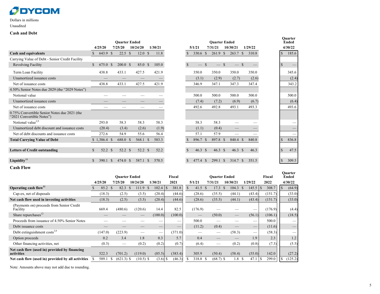### **ØDYCOM**

#### Dollars in millions

Unaudited

#### **Cash and Debt**

|                                                                           |               |               |               | <b>Quarter Ended</b> |    |                    |      |         |               |              | <b>Quarter Ended</b> |               |                  |               |         |               | <b>Ouarter</b><br><b>Ended</b> |
|---------------------------------------------------------------------------|---------------|---------------|---------------|----------------------|----|--------------------|------|---------|---------------|--------------|----------------------|---------------|------------------|---------------|---------|---------------|--------------------------------|
|                                                                           |               | 4/25/20       |               | 7/25/20              |    | 10/24/20           |      | 1/30/21 |               | 5/1/21       | 7/31/21              |               | 10/30/21         |               | 1/29/22 |               | 4/30/22                        |
| <b>Cash and equivalents</b>                                               | S.            | 643.9         | <sup>S</sup>  | $22.5 \text{ }$ \$   |    | $12.0 \text{ }$ \$ |      | 11.8    |               | 330.6 \$     | 261.9                | $\mathbb{S}$  | $263.7 \text{ }$ |               | 310.8   | \$            | 185.6                          |
| Carrying Value of Debt - Senior Credit Facility                           |               |               |               |                      |    |                    |      |         |               |              |                      |               |                  |               |         |               |                                |
| Revolving Facility                                                        | $\mathcal{S}$ | 675.0         | <sup>\$</sup> | 200.0 S              |    | 85.0 \$            |      | 105.0   | <sup>\$</sup> | -S           |                      | <sup>\$</sup> |                  |               |         | $\sqrt{S}$    |                                |
| Term Loan Facility                                                        |               | 438.8         |               | 433.1                |    | 427.5              |      | 421.9   |               | 350.0        | 350.0                |               | 350.0            |               | 350.0   |               | 345.6                          |
| Unamortized issuance costs                                                |               |               |               |                      |    |                    |      |         |               | (3.1)        | (2.9)                |               | (2.7)            |               | (2.6)   |               | (2.4)                          |
| Net of issuance costs                                                     |               | 438.8         |               | 433.1                |    | 427.5              |      | 421.9   |               | 346.9        | 347.1                |               | 347.3            |               | 347.4   |               | 343.2                          |
| 4.50% Senior Notes due 2029 (the "2029 Notes")                            |               |               |               |                      |    |                    |      |         |               |              |                      |               |                  |               |         |               |                                |
| Notional value                                                            |               |               |               |                      |    |                    |      |         |               | 500.0        | 500.0                |               | 500.0            |               | 500.0   |               | 500.0                          |
| Unamortized issuance costs                                                |               |               |               |                      |    |                    |      |         |               | (7.4)        | (7.2)                |               | (6.9)            |               | (6.7)   |               | (6.4)                          |
| Net of issuance costs                                                     |               |               |               |                      |    |                    |      |         |               | 492.6        | 492.8                |               | 493.1            |               | 493.3   |               | 493.6                          |
| 0.75% Convertible Senior Notes due 2021 (the<br>"2021 Convertible Notes") |               |               |               |                      |    |                    |      |         |               |              |                      |               |                  |               |         |               |                                |
| Notional value <sup>3,9</sup>                                             |               | 293.0         |               | 58.3                 |    | 58.3               |      | 58.3    |               | 58.3         | 58.3                 |               |                  |               |         |               |                                |
| Unamortized debt discount and issuance costs                              |               | (20.4)        |               | (3.4)                |    | (2.6)              |      | (1.9)   |               | (1.1)        | (0.4)                |               |                  |               |         |               |                                |
| Net of debt discounts and issuance costs                                  |               | 272.6         |               | 54.9                 |    | 55.6               |      | 56.4    |               | 57.1         | 57.9                 |               |                  |               |         |               |                                |
| <b>Total Carrying Value of Debt</b>                                       |               | $$1,386.4$ \$ |               | 688.0 \$             |    | 568.1 \$           |      | 583.3   |               | 896.7 \$     | 897.8                | $\mathbf{s}$  | 840.4            | -S            | 840.8   | S             | 836.8                          |
|                                                                           |               |               |               |                      |    |                    |      |         |               |              |                      |               |                  |               |         |               |                                |
| <b>Letters of Credit outstanding</b>                                      | $\mathbf S$   | 52.2 \$       |               | 52.2 \$              |    | 52.2 \$            |      | 52.2    | <sup>S</sup>  | 46.3 S       | 46.3 $$$             |               | 46.3 $$$         |               | 46.3    | <sup>\$</sup> | 47.5                           |
| Liquidity $^{\rm 10}$                                                     | $\mathbb{S}$  | 390.1         | -S            | 474.0                | -S | 587.1              | - \$ | 570.5   | <sup>\$</sup> | 477.4<br>- S | 299.1                | -S            | 314.7            | <sup>\$</sup> | 351.5   | S             | 309.5                          |

**Cash Flow**

|                                                             | <b>Quarter Ended</b><br>Fiscal |         |  |                   |               |                        |         |               |         |               |        |          |         | <b>Ouarter Ended</b> |                  |               |         |               | Fiscal  |               | <b>Ouarter</b><br><b>Ended</b> |
|-------------------------------------------------------------|--------------------------------|---------|--|-------------------|---------------|------------------------|---------|---------------|---------|---------------|--------|----------|---------|----------------------|------------------|---------------|---------|---------------|---------|---------------|--------------------------------|
|                                                             |                                | 4/25/20 |  | 7/25/20           |               | 10/24/20               | 1/30/21 |               | 2021    |               | 5/1/21 |          | 7/31/21 |                      | 10/30/21         |               | 1/29/22 |               | 2022    |               | 4/30/22                        |
| Operating cash flow <sup>11</sup>                           |                                | 85.2    |  | 82.3              | <sup>\$</sup> | 111.9<br><sup>\$</sup> | 102.4   | <sup>\$</sup> | 381.8   | <sup>\$</sup> |        | 41.5 \$  |         | 17.3                 | 104.3            | <sup>\$</sup> | 145.5   | <sup>\$</sup> | 308.7   | $\mathcal{S}$ | (64.9)                         |
| Cap-ex, net of disposals                                    |                                | (18.3)  |  | (2.5)             |               | (3.5)                  | (20.4)  |               | (44.6)  |               |        | (28.6)   |         | (35.5)               | (44.1)           |               | (43.4)  |               | (151.7) |               | (33.0)                         |
| Net cash flow used in investing activities                  |                                | (18.3)  |  | (2.5)             |               | (3.5)                  | (20.4)  |               | (44.6)  |               |        | (28.6)   |         | (35.5)               | (44.1)           |               | (43.4)  |               | (151.7) |               | (33.0)                         |
| (Payments on) proceeds from Senior Credit<br>Facility       |                                | 669.4   |  | (480.6)           |               | (120.6)                | 14.4    |               | 82.5    |               |        | (176.9)  |         |                      |                  |               |         |               | (176.9) |               | (4.4)                          |
| Share repurchases <sup>12</sup>                             |                                |         |  |                   |               |                        | (100.0) |               | (100.0) |               |        |          |         | (50.0)               |                  |               | (56.1)  |               | (106.1) |               | (18.5)                         |
| Proceeds from issuance of 4.50% Senior Notes                |                                |         |  |                   |               |                        |         |               |         |               |        | 500.0    |         |                      |                  |               |         |               | 500.0   |               |                                |
| Debt issuance costs                                         |                                |         |  |                   |               |                        |         | __            |         |               |        | (11.2)   |         | (0.4)                |                  |               |         |               | (11.6)  |               | $\overline{\phantom{0}}$       |
| Debt extinguishment costs $^{3,9}$                          |                                | (147.0) |  | (223.9)           |               | –                      |         | --            | (371.0) |               |        |          |         |                      | (58.3)           |               |         |               | (58.3)  |               |                                |
| Option proceeds                                             |                                | 0.2     |  | 3.4               |               | 1.8                    | 0.3     |               | 5.7     |               |        | 0.4      |         |                      |                  |               | 1.9     |               | 2.3     |               | 1.2                            |
| Other financing activities, net                             |                                | (0.3)   |  | $\hspace{0.05cm}$ |               | (0.2)                  |         | (0.2)         | (0.7)   |               |        | (6.4)    |         |                      | (0.2)            |               | (0.8)   |               | (7.3)   |               | (5.5)                          |
| Net cash flow (used in) provided by financing<br>activities |                                | 522.3   |  | (701.2)           |               | (119.0)                | (85.5)  |               | (383.4) |               |        | 305.9    |         | (50.4)               | (58.4)           |               | (55.0)  |               | 142.0   |               | (27.2)                         |
| Net cash flow (used in) provided by all activities          |                                | 589.1   |  | $(621.3)$ \$      |               | $(10.5)$ \$            |         | $(3.6)$ \$    | (46.3)  |               |        | 318.8 \$ |         | $(68.7)$ \$          | 1.8 <sup>°</sup> |               | 47.1    |               | 299.0   |               | (125.2)                        |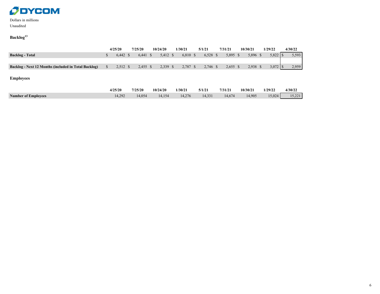

#### Dollars in millions Unaudited

### **Backlog<sup>13</sup>**

|                                                      | 4/25/20  | 7/25/20 |          | 10/24/20   | 1/30/21  | 5/1/21     | 7/31/21    | 10/30/21   | 1/29/22   | 4/30/22 |
|------------------------------------------------------|----------|---------|----------|------------|----------|------------|------------|------------|-----------|---------|
| <b>Backlog - Total</b>                               | 6.442 S  |         | 6.441 \$ | $5,412$ \$ | 6,810 \$ | $6,528$ \$ | $5,895$ \$ | 5.896 \$   | $5.822$ S | 5,593   |
|                                                      |          |         |          |            |          |            |            |            |           |         |
| Backlog - Next 12 Months (included in Total Backlog) | 2.512 \$ |         | 2.455 \$ | 2,339 \$   | 2,787 \$ | $2,746$ \$ | $2,655$ \$ | $2,938$ \$ |           | 2.959   |
|                                                      |          |         |          |            |          |            |            |            |           |         |

**Employees**

|                            | 4/25/20 | 7/25/20 | 10/24/20 | 1/30/21 | 5/1/21 | 7/31/21 | 10/30/21 | 1/29/22 | 4/30/22 |
|----------------------------|---------|---------|----------|---------|--------|---------|----------|---------|---------|
| <b>Number of Employees</b> | 4,292   | 14,054  | 14,154   | 14.276  | 14,331 | 14,674  | 14,905   | 15,024  | 15,221  |